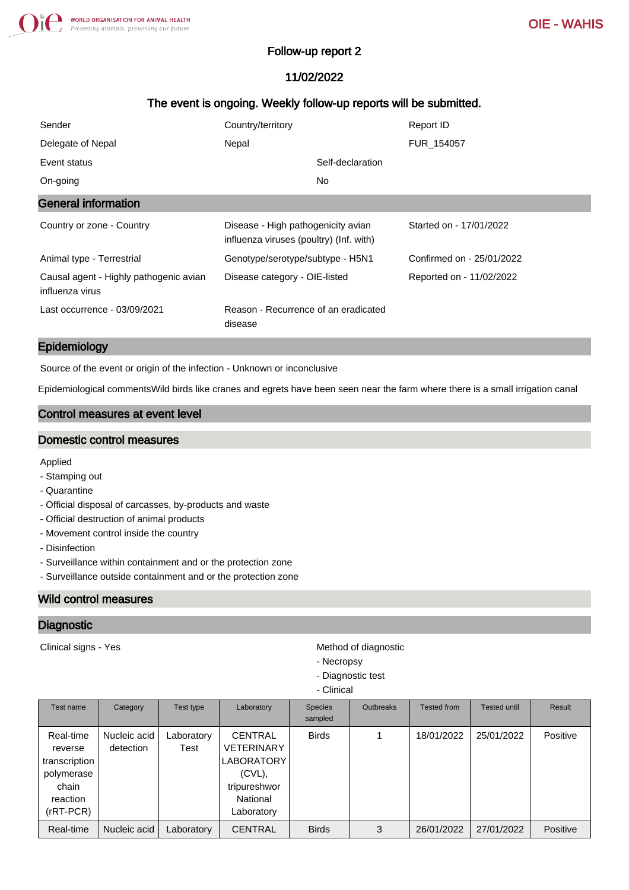### Follow-up report 2

# 11/02/2022

## The event is ongoing. Weekly follow-up reports will be submitted.

| Sender                                                    | Country/territory                                                             | Report ID                 |
|-----------------------------------------------------------|-------------------------------------------------------------------------------|---------------------------|
| Delegate of Nepal                                         | Nepal                                                                         | FUR 154057                |
| Event status                                              | Self-declaration                                                              |                           |
| On-going                                                  | No.                                                                           |                           |
| <b>General information</b>                                |                                                                               |                           |
| Country or zone - Country                                 | Disease - High pathogenicity avian<br>influenza viruses (poultry) (Inf. with) | Started on - 17/01/2022   |
| Animal type - Terrestrial                                 | Genotype/serotype/subtype - H5N1                                              | Confirmed on - 25/01/2022 |
| Causal agent - Highly pathogenic avian<br>influenza virus | Disease category - OIE-listed                                                 | Reported on - 11/02/2022  |
| Last occurrence - 03/09/2021                              | Reason - Recurrence of an eradicated<br>disease                               |                           |

### Epidemiology

Source of the event or origin of the infection - Unknown or inconclusive

Epidemiological commentsWild birds like cranes and egrets have been seen near the farm where there is a small irrigation canal

## Control measures at event level

### Domestic control measures

Applied

- Stamping out
- Quarantine
- Official disposal of carcasses, by-products and waste
- Official destruction of animal products
- Movement control inside the country
- Disinfection
- Surveillance within containment and or the protection zone
- Surveillance outside containment and or the protection zone

### Wild control measures

### **Diagnostic**

Clinical signs - Yes **Method of diagnostic** Method of diagnostic

- Necropsy
- Diagnostic test
- Clinical

| Test name                                                                               | Category                  | Test type          | Laboratory                                                                                               | <b>Species</b><br>sampled | <b>Outbreaks</b> | <b>Tested from</b> | Tested until | Result   |
|-----------------------------------------------------------------------------------------|---------------------------|--------------------|----------------------------------------------------------------------------------------------------------|---------------------------|------------------|--------------------|--------------|----------|
| Real-time<br>reverse<br>transcription<br>polymerase<br>chain<br>reaction<br>$(rRT-PCR)$ | Nucleic acid<br>detection | Laboratory<br>Test | <b>CENTRAL</b><br><b>VETERINARY</b><br>LABORATORY<br>$(CVL)$ ,<br>tripureshwor<br>National<br>Laboratory | <b>Birds</b>              |                  | 18/01/2022         | 25/01/2022   | Positive |
| Real-time                                                                               | Nucleic acid              | Laboratory         | <b>CENTRAL</b>                                                                                           | <b>Birds</b>              | 3                | 26/01/2022         | 27/01/2022   | Positive |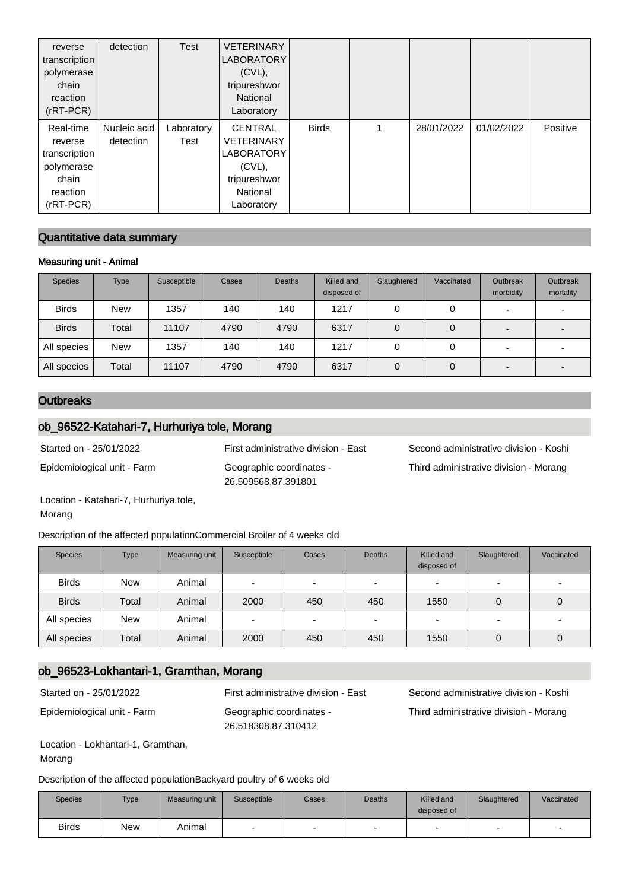| reverse<br>transcription<br>polymerase<br>chain<br>reaction<br>$(rRT-PCR)$              | detection                 | <b>Test</b>        | <b>VETERINARY</b><br><b>LABORATORY</b><br>$(CVL)$ ,<br>tripureshwor<br>National<br>Laboratory                   |              |   |            |            |          |
|-----------------------------------------------------------------------------------------|---------------------------|--------------------|-----------------------------------------------------------------------------------------------------------------|--------------|---|------------|------------|----------|
| Real-time<br>reverse<br>transcription<br>polymerase<br>chain<br>reaction<br>$(rRT-PCR)$ | Nucleic acid<br>detection | Laboratory<br>Test | <b>CENTRAL</b><br><b>VETERINARY</b><br><b>LABORATORY</b><br>$(CVL)$ ,<br>tripureshwor<br>National<br>Laboratory | <b>Birds</b> | 1 | 28/01/2022 | 01/02/2022 | Positive |

## Quantitative data summary

#### Measuring unit - Animal

| <b>Species</b> | Type       | Susceptible | Cases | <b>Deaths</b> | Killed and<br>disposed of | Slaughtered | Vaccinated | Outbreak<br>morbidity | <b>Outbreak</b><br>mortality |
|----------------|------------|-------------|-------|---------------|---------------------------|-------------|------------|-----------------------|------------------------------|
| <b>Birds</b>   | <b>New</b> | 1357        | 140   | 140           | 1217                      |             |            |                       |                              |
| <b>Birds</b>   | Total      | 11107       | 4790  | 4790          | 6317                      |             | 0          |                       |                              |
| All species    | <b>New</b> | 1357        | 140   | 140           | 1217                      |             |            |                       |                              |
| All species    | Total      | 11107       | 4790  | 4790          | 6317                      |             | 0          |                       |                              |

## **Outbreaks**

## ob\_96522-Katahari-7, Hurhuriya tole, Morang

Epidemiological unit - Farm Geographic coordinates - 26.509568,87.391801

Started on - 25/01/2022 First administrative division - East Second administrative division - Koshi Third administrative division - Morang

Location - Katahari-7, Hurhuriya tole, Morang

Description of the affected populationCommercial Broiler of 4 weeks old

| <b>Species</b> | <b>Type</b> | Measuring unit | Susceptible              | Cases                    | <b>Deaths</b>            | Killed and<br>disposed of | Slaughtered              | Vaccinated |
|----------------|-------------|----------------|--------------------------|--------------------------|--------------------------|---------------------------|--------------------------|------------|
| <b>Birds</b>   | <b>New</b>  | Animal         | $\overline{\phantom{0}}$ | $\overline{\phantom{0}}$ |                          | -                         | $\overline{\phantom{0}}$ |            |
| <b>Birds</b>   | Total       | Animal         | 2000                     | 450                      | 450                      | 1550                      | 0                        | 0          |
| All species    | <b>New</b>  | Animal         | $\overline{\phantom{0}}$ | $\overline{\phantom{0}}$ | $\overline{\phantom{0}}$ | -                         | $\overline{\phantom{0}}$ |            |
| All species    | Total       | Animal         | 2000                     | 450                      | 450                      | 1550                      | 0                        | $\Omega$   |

### ob\_96523-Lokhantari-1, Gramthan, Morang

Epidemiological unit - Farm Geographic coordinates -

26.518308,87.310412

Started on - 25/01/2022 First administrative division - East Second administrative division - Koshi Third administrative division - Morang

Location - Lokhantari-1, Gramthan, Morang

Description of the affected populationBackyard poultry of 6 weeks old

| <b>Species</b> | <b>Type</b> | Measuring unit | Susceptible | Cases | <b>Deaths</b>            | Killed and<br>disposed of | Slaughtered | Vaccinated |
|----------------|-------------|----------------|-------------|-------|--------------------------|---------------------------|-------------|------------|
| <b>Birds</b>   | New         | Animal         |             | -     | $\overline{\phantom{a}}$ | -                         |             |            |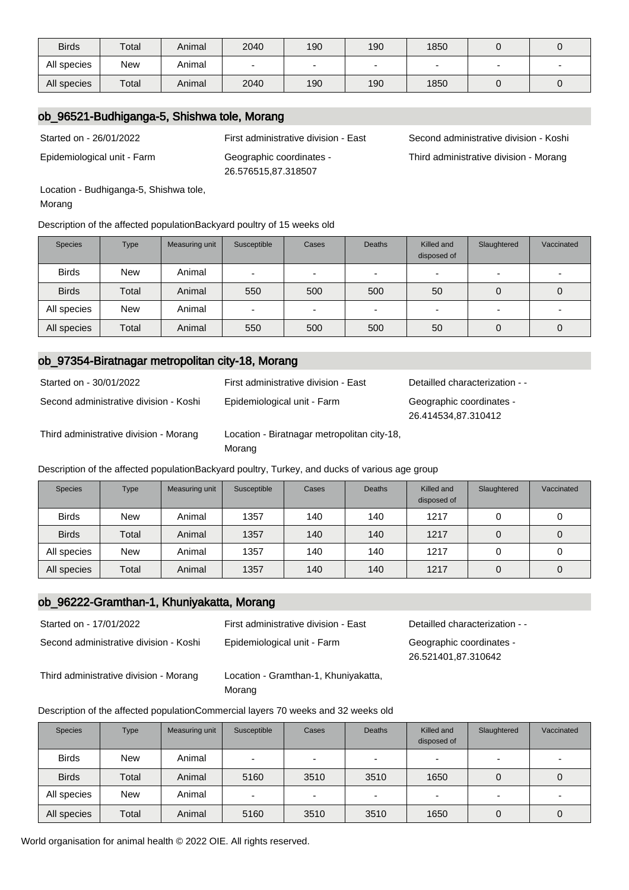| <b>Birds</b> | Total      | Animal | 2040 | 190                      | 190 | 1850 |  |
|--------------|------------|--------|------|--------------------------|-----|------|--|
| All species  | <b>New</b> | Animal |      | $\overline{\phantom{0}}$ |     |      |  |
| All species  | Total      | Animal | 2040 | 190                      | 190 | 1850 |  |

### ob\_96521-Budhiganga-5, Shishwa tole, Morang

Epidemiological unit - Farm Geographic coordinates -

26.576515,87.318507

Started on - 26/01/2022 First administrative division - East Second administrative division - Koshi Third administrative division - Morang

Location - Budhiganga-5, Shishwa tole, Morang

Description of the affected populationBackyard poultry of 15 weeks old

| <b>Species</b> | <b>Type</b> | Measuring unit | Susceptible              | Cases                    | <b>Deaths</b> | Killed and<br>disposed of | Slaughtered              | Vaccinated |
|----------------|-------------|----------------|--------------------------|--------------------------|---------------|---------------------------|--------------------------|------------|
| <b>Birds</b>   | <b>New</b>  | Animal         |                          | $\overline{\phantom{0}}$ |               |                           | $\overline{\phantom{0}}$ |            |
| <b>Birds</b>   | Total       | Animal         | 550                      | 500                      | 500           | 50                        | 0                        |            |
| All species    | <b>New</b>  | Animal         | $\overline{\phantom{a}}$ | $\overline{\phantom{0}}$ | -             | -                         | $\overline{\phantom{a}}$ |            |
| All species    | Total       | Animal         | 550                      | 500                      | 500           | 50                        | 0                        |            |

### ob\_97354-Biratnagar metropolitan city-18, Morang

| Started on - 30/01/2022                | First administrative division - East                  | Detailled characterization - -                  |
|----------------------------------------|-------------------------------------------------------|-------------------------------------------------|
| Second administrative division - Koshi | Epidemiological unit - Farm                           | Geographic coordinates -<br>26.414534,87.310412 |
| Third administrative division - Morang | Location - Biratnagar metropolitan city-18,<br>Morang |                                                 |

Description of the affected populationBackyard poultry, Turkey, and ducks of various age group

| <b>Species</b> | <b>Type</b> | Measuring unit | Susceptible | Cases | <b>Deaths</b> | Killed and<br>disposed of | Slaughtered | Vaccinated |
|----------------|-------------|----------------|-------------|-------|---------------|---------------------------|-------------|------------|
| <b>Birds</b>   | <b>New</b>  | Animal         | 1357        | 140   | 140           | 1217                      | 0           |            |
| <b>Birds</b>   | Total       | Animal         | 1357        | 140   | 140           | 1217                      | 0           |            |
| All species    | <b>New</b>  | Animal         | 1357        | 140   | 140           | 1217                      |             |            |
| All species    | Total       | Animal         | 1357        | 140   | 140           | 1217                      | 0           |            |

### ob\_96222-Gramthan-1, Khuniyakatta, Morang

| Started on - 17/01/2022                | First administrative division - East | Detailled characterization - -                  |
|----------------------------------------|--------------------------------------|-------------------------------------------------|
| Second administrative division - Koshi | Epidemiological unit - Farm          | Geographic coordinates -<br>26.521401.87.310642 |

Third administrative division - Morang Location - Gramthan-1, Khuniyakatta,

Morang

#### Description of the affected populationCommercial layers 70 weeks and 32 weeks old

| <b>Species</b> | <b>Type</b> | Measuring unit | Susceptible | Cases                    | <b>Deaths</b> | Killed and<br>disposed of | Slaughtered    | Vaccinated |
|----------------|-------------|----------------|-------------|--------------------------|---------------|---------------------------|----------------|------------|
| <b>Birds</b>   | New         | Animal         | -           | $\overline{\phantom{0}}$ |               | -                         | $\blacksquare$ |            |
| <b>Birds</b>   | Total       | Animal         | 5160        | 3510                     | 3510          | 1650                      | 0              | 0          |
| All species    | <b>New</b>  | Animal         | -           | -                        | -             | -                         | $\blacksquare$ |            |
| All species    | Total       | Animal         | 5160        | 3510                     | 3510          | 1650                      | 0              | O          |

World organisation for animal health © 2022 OIE. All rights reserved.